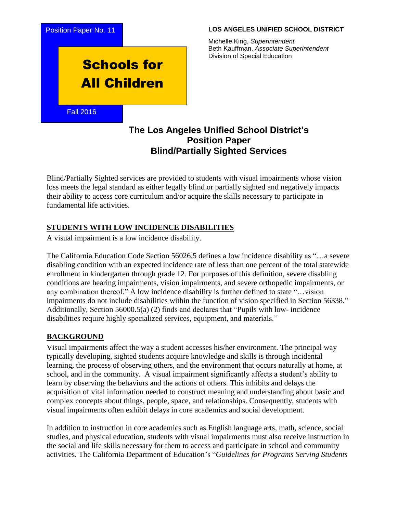

#### **LOS ANGELES UNIFIED SCHOOL DISTRICT**

Michelle King, *Superintendent* Beth Kauffman, *Associate Superintendent* Division of Special Education

# **The Los Angeles Unified School District's Position Paper Blind/Partially Sighted Services**

Blind/Partially Sighted services are provided to students with visual impairments whose vision loss meets the legal standard as either legally blind or partially sighted and negatively impacts their ability to access core curriculum and/or acquire the skills necessary to participate in fundamental life activities.

#### **STUDENTS WITH LOW INCIDENCE DISABILITIES**

A visual impairment is a low incidence disability.

The California Education Code Section 56026.5 defines a low incidence disability as "…a severe disabling condition with an expected incidence rate of less than one percent of the total statewide enrollment in kindergarten through grade 12. For purposes of this definition, severe disabling conditions are hearing impairments, vision impairments, and severe orthopedic impairments, or any combination thereof." A low incidence disability is further defined to state "…vision impairments do not include disabilities within the function of vision specified in Section 56338." Additionally, Section 56000.5(a) (2) finds and declares that "Pupils with low- incidence disabilities require highly specialized services, equipment, and materials."

#### **BACKGROUND**

Visual impairments affect the way a student accesses his/her environment. The principal way typically developing, sighted students acquire knowledge and skills is through incidental learning, the process of observing others, and the environment that occurs naturally at home, at school, and in the community. A visual impairment significantly affects a student's ability to learn by observing the behaviors and the actions of others. This inhibits and delays the acquisition of vital information needed to construct meaning and understanding about basic and complex concepts about things, people, space, and relationships. Consequently, students with visual impairments often exhibit delays in core academics and social development.

In addition to instruction in core academics such as English language arts, math, science, social studies, and physical education, students with visual impairments must also receive instruction in the social and life skills necessary for them to access and participate in school and community activities. The California Department of Education's "*Guidelines for Programs Serving Students*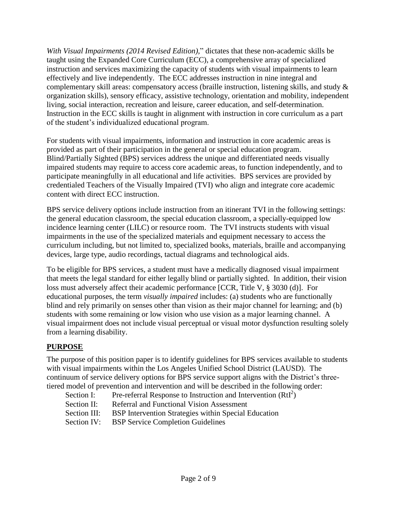*With Visual Impairments (2014 Revised Edition),*" dictates that these non-academic skills be taught using the Expanded Core Curriculum (ECC), a comprehensive array of specialized instruction and services maximizing the capacity of students with visual impairments to learn effectively and live independently. The ECC addresses instruction in nine integral and complementary skill areas: compensatory access (braille instruction, listening skills, and study & organization skills), sensory efficacy, assistive technology, orientation and mobility, independent living, social interaction, recreation and leisure, career education, and self-determination. Instruction in the ECC skills is taught in alignment with instruction in core curriculum as a part of the student's individualized educational program.

For students with visual impairments, information and instruction in core academic areas is provided as part of their participation in the general or special education program. Blind/Partially Sighted (BPS) services address the unique and differentiated needs visually impaired students may require to access core academic areas, to function independently, and to participate meaningfully in all educational and life activities. BPS services are provided by credentialed Teachers of the Visually Impaired (TVI) who align and integrate core academic content with direct ECC instruction.

BPS service delivery options include instruction from an itinerant TVI in the following settings: the general education classroom, the special education classroom, a specially-equipped low incidence learning center (LILC) or resource room. The TVI instructs students with visual impairments in the use of the specialized materials and equipment necessary to access the curriculum including, but not limited to, specialized books, materials, braille and accompanying devices, large type, audio recordings, tactual diagrams and technological aids.

To be eligible for BPS services, a student must have a medically diagnosed visual impairment that meets the legal standard for either legally blind or partially sighted. In addition, their vision loss must adversely affect their academic performance [CCR, Title V, § 3030 (d)]. For educational purposes, the term *visually impaired* includes: (a) students who are functionally blind and rely primarily on senses other than vision as their major channel for learning; and (b) students with some remaining or low vision who use vision as a major learning channel. A visual impairment does not include visual perceptual or visual motor dysfunction resulting solely from a learning disability.

### **PURPOSE**

The purpose of this position paper is to identify guidelines for BPS services available to students with visual impairments within the Los Angeles Unified School District (LAUSD). The continuum of service delivery options for BPS service support aligns with the District's threetiered model of prevention and intervention and will be described in the following order:

- Section I: Pre-referral Response to Instruction and Intervention  $(RtI^2)$
- Section II: Referral and Functional Vision Assessment
- Section III: BSP Intervention Strategies within Special Education
- Section IV: BSP Service Completion Guidelines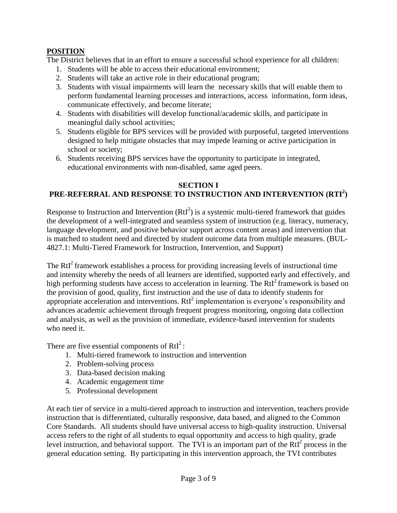## **POSITION**

The District believes that in an effort to ensure a successful school experience for all children:

- 1. Students will be able to access their educational environment;
- 2. Students will take an active role in their educational program;
- 3. Students with visual impairments will learn the necessary skills that will enable them to perform fundamental learning processes and interactions, access information, form ideas, communicate effectively, and become literate;
- 4. Students with disabilities will develop functional/academic skills, and participate in meaningful daily school activities;
- 5. Students eligible for BPS services will be provided with purposeful, targeted interventions designed to help mitigate obstacles that may impede learning or active participation in school or society;
- 6. Students receiving BPS services have the opportunity to participate in integrated, educational environments with non-disabled, same aged peers.

### **SECTION I**

## **PRE-REFERRAL AND RESPONSE TO INSTRUCTION AND INTERVENTION (RTI<sup>2</sup> )**

Response to Instruction and Intervention  $(RtI^2)$  is a systemic multi-tiered framework that guides the development of a well-integrated and seamless system of instruction (e.g. literacy, numeracy, language development, and positive behavior support across content areas) and intervention that is matched to student need and directed by student outcome data from multiple measures. (BUL-4827.1: Multi-Tiered Framework for Instruction, Intervention, and Support)

The RtI<sup>2</sup> framework establishes a process for providing increasing levels of instructional time and intensity whereby the needs of all learners are identified, supported early and effectively, and high performing students have access to acceleration in learning. The  $RtI<sup>2</sup>$  framework is based on the provision of good, quality, first instruction and the use of data to identify students for appropriate acceleration and interventions.  $RtI<sup>2</sup>$  implementation is everyone's responsibility and advances academic achievement through frequent progress monitoring, ongoing data collection and analysis, as well as the provision of immediate, evidence-based intervention for students who need it.

There are five essential components of  $RtI<sup>2</sup>$ :

- 1. Multi-tiered framework to instruction and intervention
- 2. Problem-solving process
- 3. Data-based decision making
- 4. Academic engagement time
- 5. Professional development

At each tier of service in a multi-tiered approach to instruction and intervention, teachers provide instruction that is differentiated, culturally responsive, data based, and aligned to the Common Core Standards. All students should have universal access to high-quality instruction. Universal access refers to the right of all students to equal opportunity and access to high quality, grade level instruction, and behavioral support. The TVI is an important part of the  $RtI<sup>2</sup>$  process in the general education setting. By participating in this intervention approach, the TVI contributes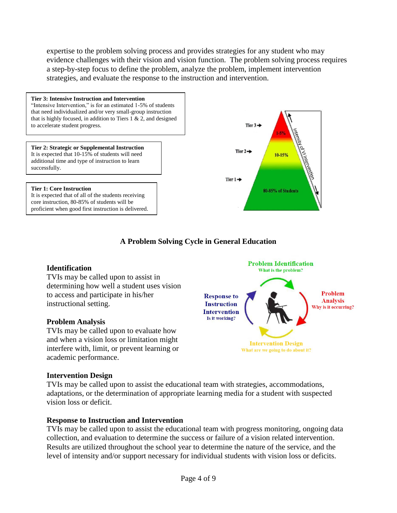expertise to the problem solving process and provides strategies for any student who may evidence challenges with their vision and vision function. The problem solving process requires a step-by-step focus to define the problem, analyze the problem, implement intervention strategies, and evaluate the response to the instruction and intervention.



### **A Problem Solving Cycle in General Education**

#### **Identification**

TVIs may be called upon to assist in determining how well a student uses vision to access and participate in his/her instructional setting.

#### **Problem Analysis**

TVIs may be called upon to evaluate how and when a vision loss or limitation might interfere with, limit, or prevent learning or academic performance.

#### **Intervention Design**

TVIs may be called upon to assist the educational team with strategies, accommodations, adaptations, or the determination of appropriate learning media for a student with suspected vision loss or deficit.

#### **Response to Instruction and Intervention**

TVIs may be called upon to assist the educational team with progress monitoring, ongoing data collection, and evaluation to determine the success or failure of a vision related intervention. Results are utilized throughout the school year to determine the nature of the service, and the level of intensity and/or support necessary for individual students with vision loss or deficits.

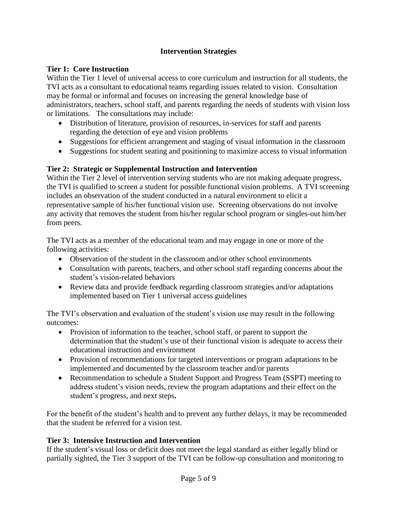## **Intervention Strategies**

### **Tier 1: Core Instruction**

Within the Tier 1 level of universal access to core curriculum and instruction for all students, the TVI acts as a consultant to educational teams regarding issues related to vision. Consultation may be formal or informal and focuses on increasing the general knowledge base of administrators, teachers, school staff, and parents regarding the needs of students with vision loss or limitations. The consultations may include:

- Distribution of literature, provision of resources, in-services for staff and parents regarding the detection of eye and vision problems
- Suggestions for efficient arrangement and staging of visual information in the classroom
- Suggestions for student seating and positioning to maximize access to visual information

### **Tier 2: Strategic or Supplemental Instruction and Intervention**

Within the Tier 2 level of intervention serving students who are not making adequate progress, the TVI is qualified to screen a student for possible functional vision problems. A TVI screening includes an observation of the student conducted in a natural environment to elicit a representative sample of his/her functional vision use. Screening observations do not involve any activity that removes the student from his/her regular school program or singles-out him/her from peers.

The TVI acts as a member of the educational team and may engage in one or more of the following activities:

- Observation of the student in the classroom and/or other school environments
- Consultation with parents, teachers, and other school staff regarding concerns about the student's vision-related behaviors
- Review data and provide feedback regarding classroom strategies and/or adaptations implemented based on Tier 1 universal access guidelines

The TVI's observation and evaluation of the student's vision use may result in the following outcomes:

- Provision of information to the teacher, school staff, or parent to support the determination that the student's use of their functional vision is adequate to access their educational instruction and environment
- Provision of recommendations for targeted interventions or program adaptations to be implemented and documented by the classroom teacher and/or parents
- Recommendation to schedule a Student Support and Progress Team (SSPT) meeting to address student's vision needs, review the program adaptations and their effect on the student's progress, and next steps**.**

For the benefit of the student's health and to prevent any further delays, it may be recommended that the student be referred for a vision test.

#### **Tier 3: Intensive Instruction and Intervention**

If the student's visual loss or deficit does not meet the legal standard as either legally blind or partially sighted, the Tier 3 support of the TVI can be follow-up consultation and monitoring to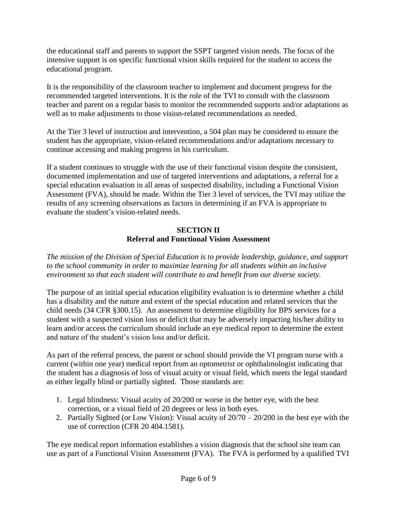the educational staff and parents to support the SSPT targeted vision needs. The focus of the intensive support is on specific functional vision skills required for the student to access the educational program.

It is the responsibility of the classroom teacher to implement and document progress for the recommended targeted interventions. It is the role of the TVI to consult with the classroom teacher and parent on a regular basis to monitor the recommended supports and/or adaptations as well as to make adjustments to those vision-related recommendations as needed.

At the Tier 3 level of instruction and intervention, a 504 plan may be considered to ensure the student has the appropriate, vision-related recommendations and/or adaptations necessary to continue accessing and making progress in his curriculum.

If a student continues to struggle with the use of their functional vision despite the consistent, documented implementation and use of targeted interventions and adaptations, a referral for a special education evaluation in all areas of suspected disability, including a Functional Vision Assessment (FVA), should be made. Within the Tier 3 level of services, the TVI may utilize the results of any screening observations as factors in determining if an FVA is appropriate to evaluate the student's vision-related needs.

### **SECTION II Referral and Functional Vision Assessment**

*The mission of the Division of Special Education is to provide leadership, guidance, and support to the school community in order to maximize learning for all students within an inclusive environment so that each student will contribute to and benefit from our diverse society.*

The purpose of an initial special education eligibility evaluation is to determine whether a child has a disability and the nature and extent of the special education and related services that the child needs (34 CFR §300.15). An assessment to determine eligibility for BPS services for a student with a suspected vision loss or deficit that may be adversely impacting his/her ability to learn and/or access the curriculum should include an eye medical report to determine the extent and nature of the student's vision loss and/or deficit.

As part of the referral process, the parent or school should provide the VI program nurse with a current (within one year) medical report from an optometrist or ophthalmologist indicating that the student has a diagnosis of loss of visual acuity or visual field, which meets the legal standard as either legally blind or partially sighted. Those standards are:

- 1. Legal blindness: Visual acuity of 20/200 or worse in the better eye, with the best correction, or a visual field of 20 degrees or less in both eyes.
- 2. Partially Sighted (or Low Vision): Visual acuity of 20/70 20/200 in the best eye with the use of correction (CFR 20 404.1581).

The eye medical report information establishes a vision diagnosis that the school site team can use as part of a Functional Vision Assessment (FVA). The FVA is performed by a qualified TVI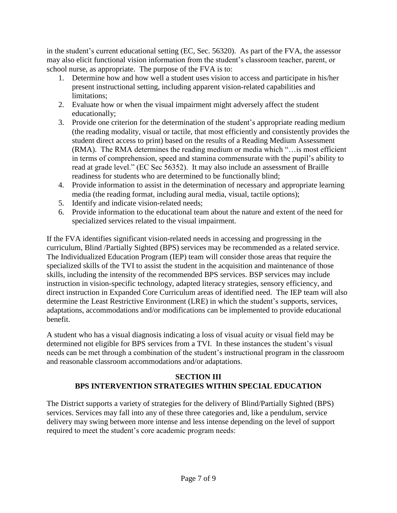in the student's current educational setting (EC, Sec. 56320). As part of the FVA, the assessor may also elicit functional vision information from the student's classroom teacher, parent, or school nurse, as appropriate. The purpose of the FVA is to:

- 1. Determine how and how well a student uses vision to access and participate in his/her present instructional setting, including apparent vision-related capabilities and limitations;
- 2. Evaluate how or when the visual impairment might adversely affect the student educationally;
- 3. Provide one criterion for the determination of the student's appropriate reading medium (the reading modality, visual or tactile, that most efficiently and consistently provides the student direct access to print) based on the results of a Reading Medium Assessment (RMA). The RMA determines the reading medium or media which "…is most efficient in terms of comprehension, speed and stamina commensurate with the pupil's ability to read at grade level." (EC Sec 56352). It may also include an assessment of Braille readiness for students who are determined to be functionally blind;
- 4. Provide information to assist in the determination of necessary and appropriate learning media (the reading format, including aural media, visual, tactile options);
- 5. Identify and indicate vision-related needs;
- 6. Provide information to the educational team about the nature and extent of the need for specialized services related to the visual impairment.

If the FVA identifies significant vision-related needs in accessing and progressing in the curriculum, Blind /Partially Sighted (BPS) services may be recommended as a related service. The Individualized Education Program (IEP) team will consider those areas that require the specialized skills of the TVI to assist the student in the acquisition and maintenance of those skills, including the intensity of the recommended BPS services. BSP services may include instruction in vision-specific technology, adapted literacy strategies, sensory efficiency, and direct instruction in Expanded Core Curriculum areas of identified need. The IEP team will also determine the Least Restrictive Environment (LRE) in which the student's supports, services, adaptations, accommodations and/or modifications can be implemented to provide educational benefit.

A student who has a visual diagnosis indicating a loss of visual acuity or visual field may be determined not eligible for BPS services from a TVI. In these instances the student's visual needs can be met through a combination of the student's instructional program in the classroom and reasonable classroom accommodations and/or adaptations.

### **SECTION III BPS INTERVENTION STRATEGIES WITHIN SPECIAL EDUCATION**

The District supports a variety of strategies for the delivery of Blind/Partially Sighted (BPS) services. Services may fall into any of these three categories and, like a pendulum, service delivery may swing between more intense and less intense depending on the level of support required to meet the student's core academic program needs: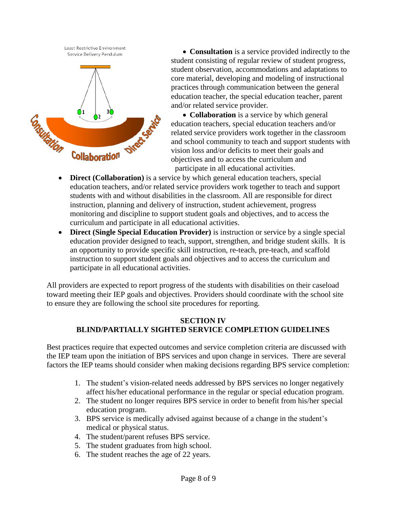

 **Consultation** is a service provided indirectly to the student consisting of regular review of student progress, student observation, accommodations and adaptations to core material, developing and modeling of instructional practices through communication between the general education teacher, the special education teacher, parent and/or related service provider.

• **Collaboration** is a service by which general education teachers, special education teachers and/or related service providers work together in the classroom and school community to teach and support students with vision loss and/or deficits to meet their goals and objectives and to access the curriculum and **Collaboration**<br> **Exercise**<br> **Exercise**<br> **Exercise**<br> **Exercise**<br> **Exercise**<br> **Exercise**<br> **Exercise**<br> **Exercise**<br> **Exercise**<br> **Exercise**<br> **Exercise**<br> **Exercise**<br> **Exercise**<br> **Exercise**<br> **Exercise**<br> **Exercise**<br> **Exercise**<br>

- **Direct (Collaboration)** is a service by which general education teachers, special education teachers, and/or related service providers work together to teach and support students with and without disabilities in the classroom. All are responsible for direct instruction, planning and delivery of instruction, student achievement, progress monitoring and discipline to support student goals and objectives, and to access the curriculum and participate in all educational activities.
- **Direct (Single Special Education Provider)** is instruction or service by a single special education provider designed to teach, support, strengthen, and bridge student skills. It is an opportunity to provide specific skill instruction, re-teach, pre-teach, and scaffold instruction to support student goals and objectives and to access the curriculum and participate in all educational activities.

All providers are expected to report progress of the students with disabilities on their caseload toward meeting their IEP goals and objectives. Providers should coordinate with the school site to ensure they are following the school site procedures for reporting.

#### **SECTION IV BLIND/PARTIALLY SIGHTED SERVICE COMPLETION GUIDELINES**

Best practices require that expected outcomes and service completion criteria are discussed with the IEP team upon the initiation of BPS services and upon change in services. There are several factors the IEP teams should consider when making decisions regarding BPS service completion:

- 1. The student's vision-related needs addressed by BPS services no longer negatively affect his/her educational performance in the regular or special education program.
- 2. The student no longer requires BPS service in order to benefit from his/her special education program.
- 3. BPS service is medically advised against because of a change in the student's medical or physical status.
- 4. The student/parent refuses BPS service.
- 5. The student graduates from high school.
- 6. The student reaches the age of 22 years.